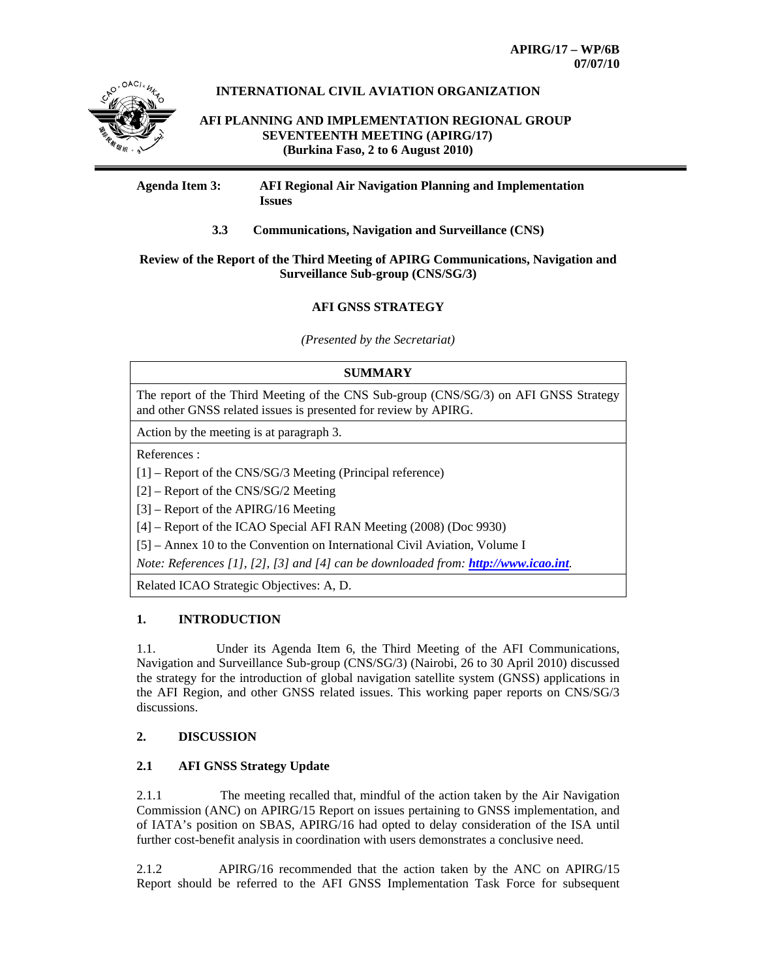

# **INTERNATIONAL CIVIL AVIATION ORGANIZATION**

 **AFI PLANNING AND IMPLEMENTATION REGIONAL GROUP SEVENTEENTH MEETING (APIRG/17) (Burkina Faso, 2 to 6 August 2010)** 

## **Agenda Item 3: AFI Regional Air Navigation Planning and Implementation Issues**

**3.3 Communications, Navigation and Surveillance (CNS)** 

# **Review of the Report of the Third Meeting of APIRG Communications, Navigation and Surveillance Sub-group (CNS/SG/3)**

# **AFI GNSS STRATEGY**

*(Presented by the Secretariat)* 

# **SUMMARY**  The report of the Third Meeting of the CNS Sub-group (CNS/SG/3) on AFI GNSS Strategy and other GNSS related issues is presented for review by APIRG. Action by the meeting is at paragraph 3.

References :

- [1] Report of the CNS/SG/3 Meeting (Principal reference)
- [2] Report of the CNS/SG/2 Meeting

[3] – Report of the APIRG/16 Meeting

[4] – Report of the ICAO Special AFI RAN Meeting (2008) (Doc 9930)

[5] – Annex 10 to the Convention on International Civil Aviation, Volume I

*Note: References [1], [2], [3] and [4] can be downloaded from: http://www.icao.int.*

Related ICAO Strategic Objectives: A, D.

# **1. INTRODUCTION**

1.1. Under its Agenda Item 6, the Third Meeting of the AFI Communications, Navigation and Surveillance Sub-group (CNS/SG/3) (Nairobi, 26 to 30 April 2010) discussed the strategy for the introduction of global navigation satellite system (GNSS) applications in the AFI Region, and other GNSS related issues. This working paper reports on CNS/SG/3 discussions.

# **2. DISCUSSION**

# **2.1 AFI GNSS Strategy Update**

2.1.1 The meeting recalled that, mindful of the action taken by the Air Navigation Commission (ANC) on APIRG/15 Report on issues pertaining to GNSS implementation, and of IATA's position on SBAS, APIRG/16 had opted to delay consideration of the ISA until further cost-benefit analysis in coordination with users demonstrates a conclusive need.

2.1.2 APIRG/16 recommended that the action taken by the ANC on APIRG/15 Report should be referred to the AFI GNSS Implementation Task Force for subsequent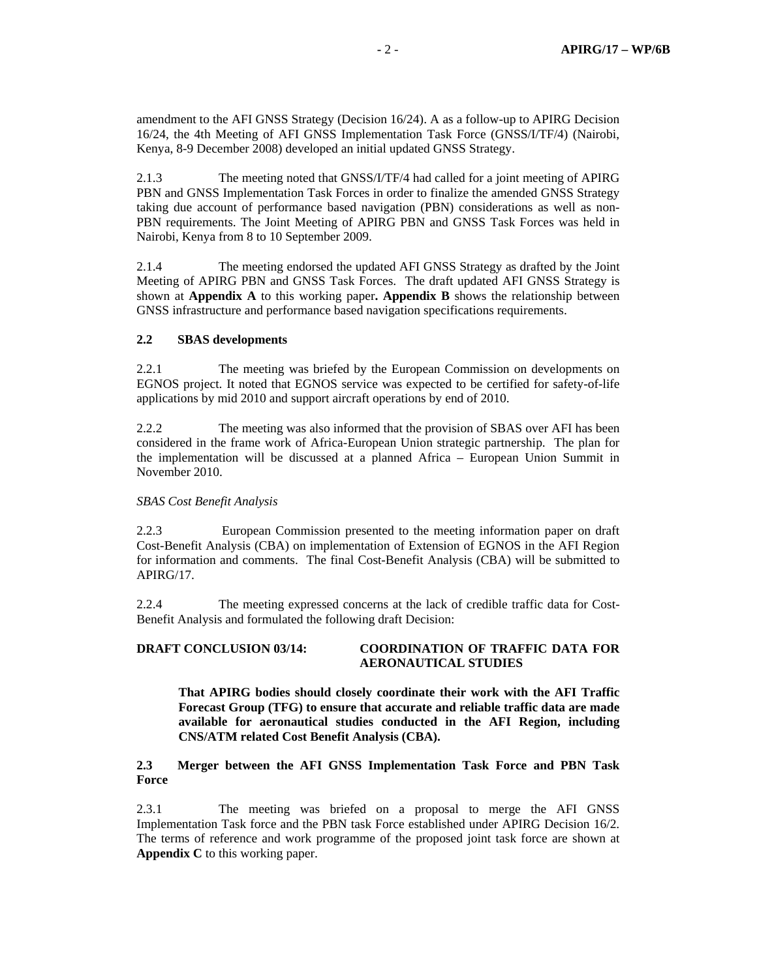amendment to the AFI GNSS Strategy (Decision 16/24). A as a follow-up to APIRG Decision 16/24, the 4th Meeting of AFI GNSS Implementation Task Force (GNSS/I/TF/4) (Nairobi, Kenya, 8-9 December 2008) developed an initial updated GNSS Strategy.

2.1.3 The meeting noted that GNSS/I/TF/4 had called for a joint meeting of APIRG PBN and GNSS Implementation Task Forces in order to finalize the amended GNSS Strategy taking due account of performance based navigation (PBN) considerations as well as non-PBN requirements. The Joint Meeting of APIRG PBN and GNSS Task Forces was held in Nairobi, Kenya from 8 to 10 September 2009.

2.1.4 The meeting endorsed the updated AFI GNSS Strategy as drafted by the Joint Meeting of APIRG PBN and GNSS Task Forces. The draft updated AFI GNSS Strategy is shown at **Appendix A** to this working paper**. Appendix B** shows the relationship between GNSS infrastructure and performance based navigation specifications requirements.

## **2.2 SBAS developments**

2.2.1 The meeting was briefed by the European Commission on developments on EGNOS project. It noted that EGNOS service was expected to be certified for safety-of-life applications by mid 2010 and support aircraft operations by end of 2010.

2.2.2 The meeting was also informed that the provision of SBAS over AFI has been considered in the frame work of Africa-European Union strategic partnership. The plan for the implementation will be discussed at a planned Africa – European Union Summit in November 2010.

## *SBAS Cost Benefit Analysis*

2.2.3 European Commission presented to the meeting information paper on draft Cost-Benefit Analysis (CBA) on implementation of Extension of EGNOS in the AFI Region for information and comments. The final Cost-Benefit Analysis (CBA) will be submitted to APIRG/17.

2.2.4 The meeting expressed concerns at the lack of credible traffic data for Cost-Benefit Analysis and formulated the following draft Decision:

# **DRAFT CONCLUSION 03/14: COORDINATION OF TRAFFIC DATA FOR AERONAUTICAL STUDIES**

 **That APIRG bodies should closely coordinate their work with the AFI Traffic Forecast Group (TFG) to ensure that accurate and reliable traffic data are made available for aeronautical studies conducted in the AFI Region, including CNS/ATM related Cost Benefit Analysis (CBA).** 

## **2.3 Merger between the AFI GNSS Implementation Task Force and PBN Task Force**

2.3.1 The meeting was briefed on a proposal to merge the AFI GNSS Implementation Task force and the PBN task Force established under APIRG Decision 16/2. The terms of reference and work programme of the proposed joint task force are shown at **Appendix C** to this working paper.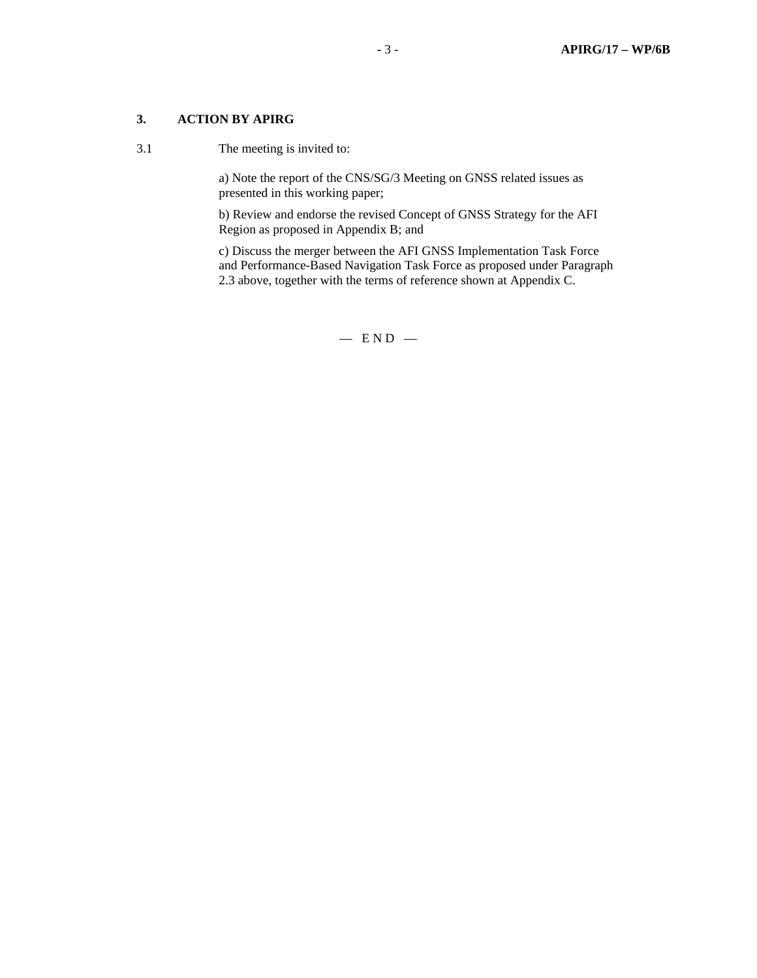# **3. ACTION BY APIRG**

3.1 The meeting is invited to:

a) Note the report of the CNS/SG/3 Meeting on GNSS related issues as presented in this working paper;

b) Review and endorse the revised Concept of GNSS Strategy for the AFI Region as proposed in Appendix B; and

c) Discuss the merger between the AFI GNSS Implementation Task Force and Performance-Based Navigation Task Force as proposed under Paragraph 2.3 above, together with the terms of reference shown at Appendix C.

 $-$  END  $-$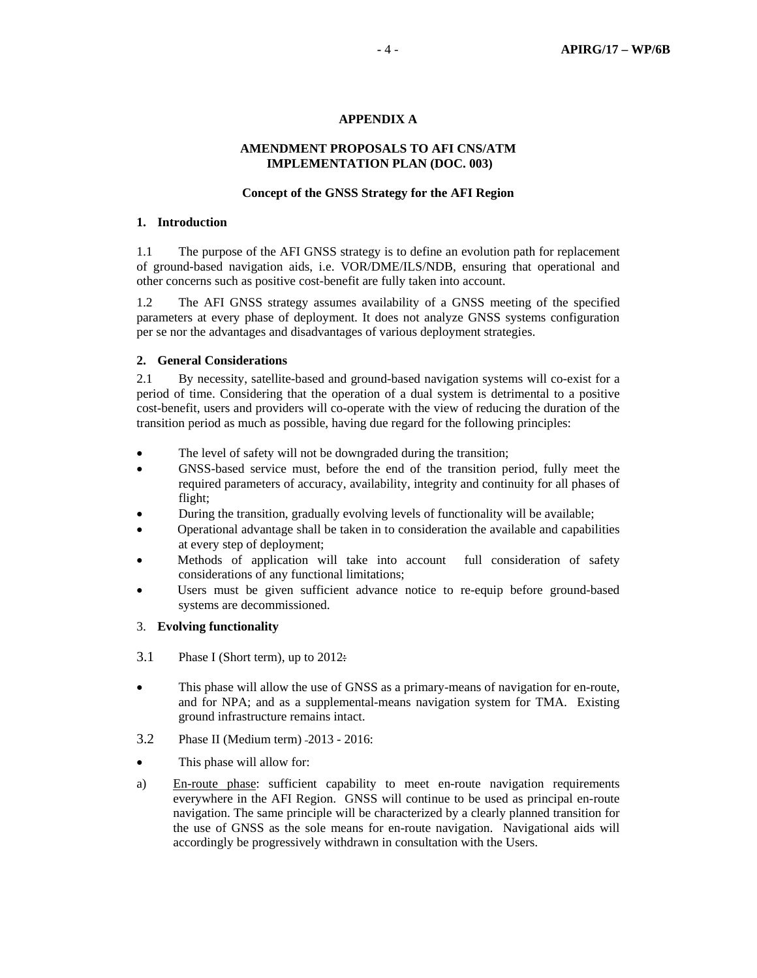## **APPENDIX A**

## **AMENDMENT PROPOSALS TO AFI CNS/ATM IMPLEMENTATION PLAN (DOC. 003)**

#### **Concept of the GNSS Strategy for the AFI Region**

#### **1. Introduction**

1.1 The purpose of the AFI GNSS strategy is to define an evolution path for replacement of ground-based navigation aids, i.e. VOR/DME/ILS/NDB, ensuring that operational and other concerns such as positive cost-benefit are fully taken into account.

1.2 The AFI GNSS strategy assumes availability of a GNSS meeting of the specified parameters at every phase of deployment. It does not analyze GNSS systems configuration per se nor the advantages and disadvantages of various deployment strategies.

#### **2. General Considerations**

2.1 By necessity, satellite-based and ground-based navigation systems will co-exist for a period of time. Considering that the operation of a dual system is detrimental to a positive cost-benefit, users and providers will co-operate with the view of reducing the duration of the transition period as much as possible, having due regard for the following principles:

- The level of safety will not be downgraded during the transition;
- GNSS-based service must, before the end of the transition period, fully meet the required parameters of accuracy, availability, integrity and continuity for all phases of flight;
- During the transition, gradually evolving levels of functionality will be available;
- Operational advantage shall be taken in to consideration the available and capabilities at every step of deployment;
- Methods of application will take into account full consideration of safety considerations of any functional limitations;
- Users must be given sufficient advance notice to re-equip before ground-based systems are decommissioned.
- 3. **Evolving functionality**
- 3.1 Phase I (Short term), up to 2012:
- This phase will allow the use of GNSS as a primary-means of navigation for en-route, and for NPA; and as a supplemental-means navigation system for TMA. Existing ground infrastructure remains intact.
- 3.2 Phase II (Medium term) 2013 2016:
- This phase will allow for:
- a) En-route phase: sufficient capability to meet en-route navigation requirements everywhere in the AFI Region. GNSS will continue to be used as principal en-route navigation. The same principle will be characterized by a clearly planned transition for the use of GNSS as the sole means for en-route navigation. Navigational aids will accordingly be progressively withdrawn in consultation with the Users.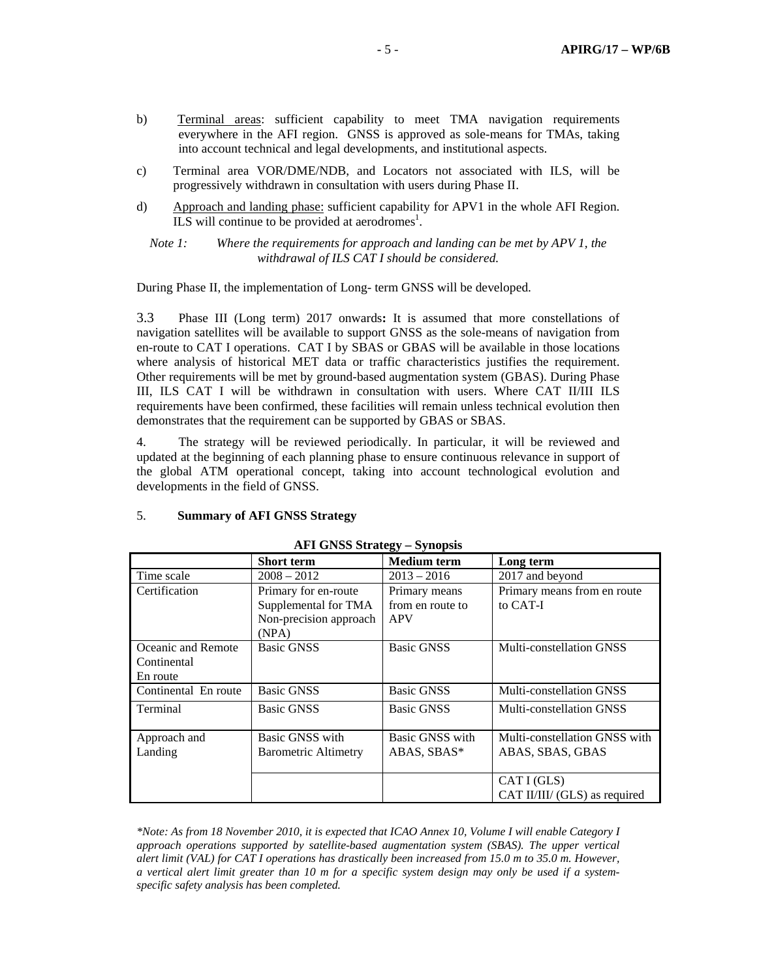- b) Terminal areas: sufficient capability to meet TMA navigation requirements everywhere in the AFI region. GNSS is approved as sole-means for TMAs, taking into account technical and legal developments, and institutional aspects.
- c) Terminal area VOR/DME/NDB, and Locators not associated with ILS, will be progressively withdrawn in consultation with users during Phase II.
- d) Approach and landing phase: sufficient capability for APV1 in the whole AFI Region. ILS will continue to be provided at aerodromes<sup>1</sup>.

*Note 1: Where the requirements for approach and landing can be met by APV 1, the withdrawal of ILS CAT I should be considered.* 

During Phase II, the implementation of Long- term GNSS will be developed.

3.3 Phase III (Long term) 2017 onwards**:** It is assumed that more constellations of navigation satellites will be available to support GNSS as the sole-means of navigation from en-route to CAT I operations. CAT I by SBAS or GBAS will be available in those locations where analysis of historical MET data or traffic characteristics justifies the requirement. Other requirements will be met by ground-based augmentation system (GBAS). During Phase III, ILS CAT I will be withdrawn in consultation with users. Where CAT II/III ILS requirements have been confirmed, these facilities will remain unless technical evolution then demonstrates that the requirement can be supported by GBAS or SBAS.

4. The strategy will be reviewed periodically. In particular, it will be reviewed and updated at the beginning of each planning phase to ensure continuous relevance in support of the global ATM operational concept, taking into account technological evolution and developments in the field of GNSS.

#### 5. **Summary of AFI GNSS Strategy**

|                      | <b>Short term</b>           | <b>Medium</b> term | Long term                     |
|----------------------|-----------------------------|--------------------|-------------------------------|
| Time scale           | $2008 - 2012$               | $2013 - 2016$      | 2017 and beyond               |
| Certification        | Primary for en-route        | Primary means      | Primary means from en route   |
|                      | Supplemental for TMA        | from en route to   | to CAT-I                      |
|                      | Non-precision approach      | APV                |                               |
|                      | (NPA)                       |                    |                               |
| Oceanic and Remote   | <b>Basic GNSS</b>           | <b>Basic GNSS</b>  | Multi-constellation GNSS      |
| Continental          |                             |                    |                               |
| En route             |                             |                    |                               |
| Continental En route | <b>Basic GNSS</b>           | <b>Basic GNSS</b>  | Multi-constellation GNSS      |
| Terminal             | <b>Basic GNSS</b>           | <b>Basic GNSS</b>  | Multi-constellation GNSS      |
|                      |                             |                    |                               |
| Approach and         | Basic GNSS with             | Basic GNSS with    | Multi-constellation GNSS with |
| Landing              | <b>Barometric Altimetry</b> | ABAS, SBAS*        | ABAS, SBAS, GBAS              |
|                      |                             |                    |                               |
|                      |                             |                    | CAT I (GLS)                   |
|                      |                             |                    | CAT II/III/ (GLS) as required |

#### **AFI GNSS Strategy – Synopsis**

*\*Note: As from 18 November 2010, it is expected that ICAO Annex 10, Volume I will enable Category I approach operations supported by satellite-based augmentation system (SBAS). The upper vertical alert limit (VAL) for CAT I operations has drastically been increased from 15.0 m to 35.0 m. However, a vertical alert limit greater than 10 m for a specific system design may only be used if a systemspecific safety analysis has been completed.*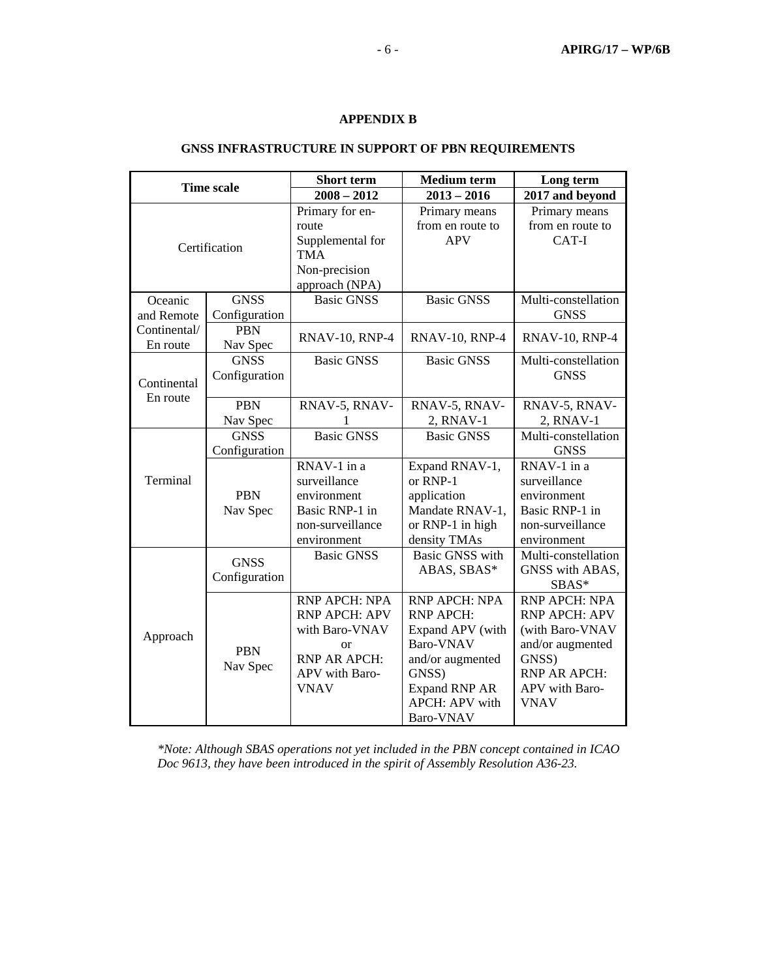## **APPENDIX B**

# **GNSS INFRASTRUCTURE IN SUPPORT OF PBN REQUIREMENTS**

| <b>Time scale</b> |               | <b>Short</b> term     | <b>Medium</b> term     | Long term             |  |
|-------------------|---------------|-----------------------|------------------------|-----------------------|--|
|                   |               | $2008 - 2012$         | $2013 - 2016$          | 2017 and beyond       |  |
|                   |               | Primary for en-       | Primary means          | Primary means         |  |
|                   |               | route                 | from en route to       | from en route to      |  |
|                   |               | Supplemental for      | <b>APV</b>             | CAT-I                 |  |
| Certification     |               | <b>TMA</b>            |                        |                       |  |
|                   |               | Non-precision         |                        |                       |  |
|                   |               | approach (NPA)        |                        |                       |  |
| Oceanic           | <b>GNSS</b>   | <b>Basic GNSS</b>     | <b>Basic GNSS</b>      | Multi-constellation   |  |
| and Remote        | Configuration |                       |                        | <b>GNSS</b>           |  |
| Continental/      | <b>PBN</b>    | <b>RNAV-10, RNP-4</b> | <b>RNAV-10, RNP-4</b>  | <b>RNAV-10, RNP-4</b> |  |
| En route          | Nav Spec      |                       |                        |                       |  |
|                   | <b>GNSS</b>   | <b>Basic GNSS</b>     | <b>Basic GNSS</b>      | Multi-constellation   |  |
| Continental       | Configuration |                       |                        | <b>GNSS</b>           |  |
| En route          |               |                       |                        |                       |  |
|                   | <b>PBN</b>    | RNAV-5, RNAV-         | RNAV-5, RNAV-          | RNAV-5, RNAV-         |  |
|                   | Nav Spec      |                       | 2, RNAV-1              | 2, RNAV-1             |  |
|                   | <b>GNSS</b>   | <b>Basic GNSS</b>     | <b>Basic GNSS</b>      | Multi-constellation   |  |
|                   | Configuration |                       |                        | <b>GNSS</b>           |  |
|                   |               | RNAV-1 in a           | Expand RNAV-1,         | RNAV-1 in a           |  |
| Terminal          |               | surveillance          | or RNP-1               | surveillance          |  |
|                   | <b>PBN</b>    | environment           | application            | environment           |  |
|                   | Nav Spec      | Basic RNP-1 in        | Mandate RNAV-1,        | Basic RNP-1 in        |  |
|                   |               | non-surveillance      | or RNP-1 in high       | non-surveillance      |  |
|                   |               | environment           | density TMAs           | environment           |  |
|                   | <b>GNSS</b>   | <b>Basic GNSS</b>     | <b>Basic GNSS with</b> | Multi-constellation   |  |
|                   | Configuration |                       | ABAS, SBAS*            | GNSS with ABAS,       |  |
| Approach          |               |                       |                        | SBAS*                 |  |
|                   |               | RNP APCH: NPA         | RNP APCH: NPA          | RNP APCH: NPA         |  |
|                   |               | <b>RNP APCH: APV</b>  | <b>RNP APCH:</b>       | <b>RNP APCH: APV</b>  |  |
|                   |               | with Baro-VNAV        | Expand APV (with       | (with Baro-VNAV       |  |
|                   | <b>PBN</b>    | <b>or</b>             | Baro-VNAV              | and/or augmented      |  |
|                   | Nav Spec      | <b>RNP AR APCH:</b>   | and/or augmented       | GNSS)                 |  |
|                   |               | APV with Baro-        | GNSS)                  | RNP AR APCH:          |  |
|                   |               | <b>VNAV</b>           | <b>Expand RNP AR</b>   | APV with Baro-        |  |
|                   |               |                       | <b>APCH: APV with</b>  | <b>VNAV</b>           |  |
|                   |               |                       | Baro-VNAV              |                       |  |

*\*Note: Although SBAS operations not yet included in the PBN concept contained in ICAO Doc 9613, they have been introduced in the spirit of Assembly Resolution A36-23.*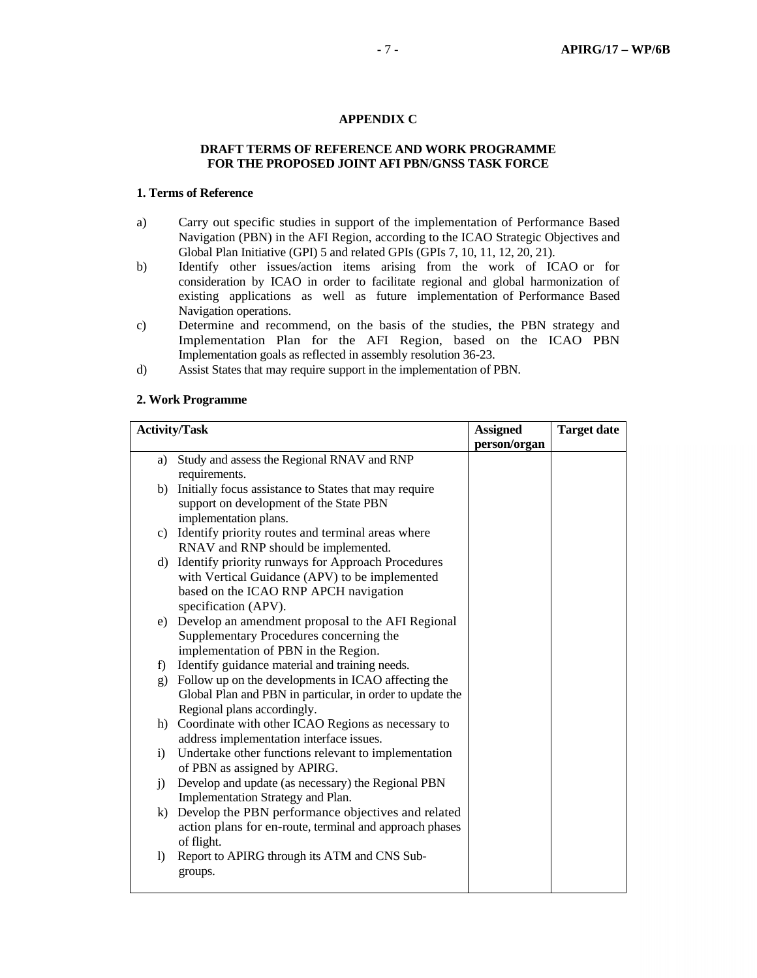#### **APPENDIX C**

## **DRAFT TERMS OF REFERENCE AND WORK PROGRAMME FOR THE PROPOSED JOINT AFI PBN/GNSS TASK FORCE**

## **1. Terms of Reference**

- a) Carry out specific studies in support of the implementation of Performance Based Navigation (PBN) in the AFI Region, according to the ICAO Strategic Objectives and Global Plan Initiative (GPI) 5 and related GPIs (GPIs 7, 10, 11, 12, 20, 21).
- b) Identify other issues/action items arising from the work of ICAO or for consideration by ICAO in order to facilitate regional and global harmonization of existing applications as well as future implementation of Performance Based Navigation operations.
- c) Determine and recommend, on the basis of the studies, the PBN strategy and Implementation Plan for the AFI Region, based on the ICAO PBN Implementation goals as reflected in assembly resolution 36-23.
- d) Assist States that may require support in the implementation of PBN.

#### **2. Work Programme**

| <b>Activity/Task</b> |                                                           | <b>Assigned</b> | <b>Target date</b> |
|----------------------|-----------------------------------------------------------|-----------------|--------------------|
|                      |                                                           | person/organ    |                    |
|                      | a) Study and assess the Regional RNAV and RNP             |                 |                    |
|                      | requirements.                                             |                 |                    |
| b)                   | Initially focus assistance to States that may require     |                 |                    |
|                      | support on development of the State PBN                   |                 |                    |
|                      | implementation plans.                                     |                 |                    |
|                      | c) Identify priority routes and terminal areas where      |                 |                    |
|                      | RNAV and RNP should be implemented.                       |                 |                    |
| d)                   | Identify priority runways for Approach Procedures         |                 |                    |
|                      | with Vertical Guidance (APV) to be implemented            |                 |                    |
|                      | based on the ICAO RNP APCH navigation                     |                 |                    |
|                      | specification (APV).                                      |                 |                    |
| e)                   | Develop an amendment proposal to the AFI Regional         |                 |                    |
|                      | Supplementary Procedures concerning the                   |                 |                    |
|                      | implementation of PBN in the Region.                      |                 |                    |
| f                    | Identify guidance material and training needs.            |                 |                    |
| g)                   | Follow up on the developments in ICAO affecting the       |                 |                    |
|                      | Global Plan and PBN in particular, in order to update the |                 |                    |
|                      | Regional plans accordingly.                               |                 |                    |
| h)                   | Coordinate with other ICAO Regions as necessary to        |                 |                    |
|                      | address implementation interface issues.                  |                 |                    |
| i)                   | Undertake other functions relevant to implementation      |                 |                    |
|                      | of PBN as assigned by APIRG.                              |                 |                    |
| i)                   | Develop and update (as necessary) the Regional PBN        |                 |                    |
|                      | Implementation Strategy and Plan.                         |                 |                    |
| k)                   | Develop the PBN performance objectives and related        |                 |                    |
|                      | action plans for en-route, terminal and approach phases   |                 |                    |
|                      | of flight.                                                |                 |                    |
| $\left( \right)$     | Report to APIRG through its ATM and CNS Sub-              |                 |                    |
|                      | groups.                                                   |                 |                    |
|                      |                                                           |                 |                    |